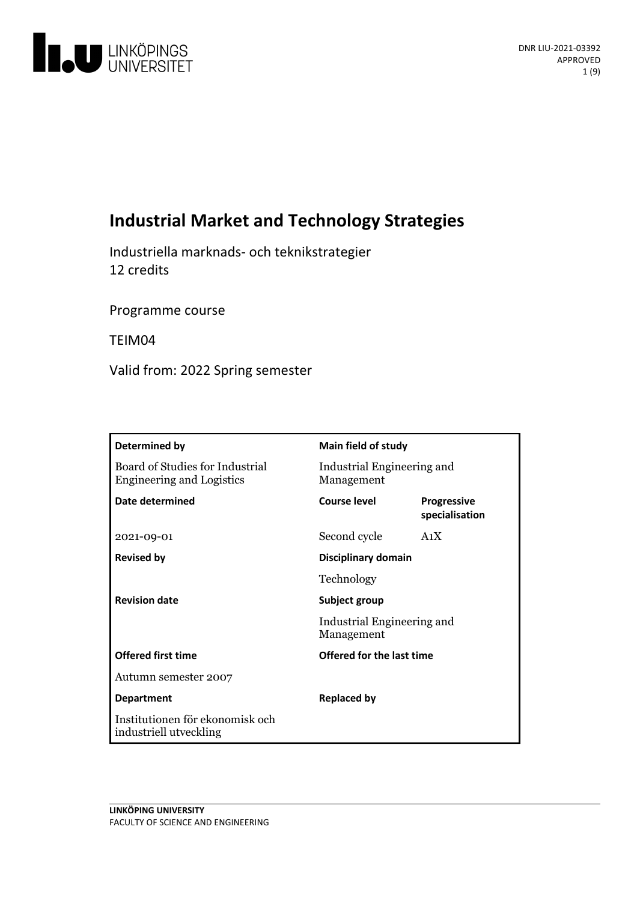

# **Industrial Market and Technology Strategies**

Industriella marknads- och teknikstrategier 12 credits

Programme course

TEIM04

Valid from: 2022 Spring semester

| Determined by                                                       | Main field of study                                       |                                      |
|---------------------------------------------------------------------|-----------------------------------------------------------|--------------------------------------|
| Board of Studies for Industrial<br><b>Engineering and Logistics</b> | Industrial Engineering and<br>Management                  |                                      |
| Date determined                                                     | Course level                                              | <b>Progressive</b><br>specialisation |
| 2021-09-01                                                          | Second cycle                                              | A <sub>1</sub> X                     |
| <b>Revised by</b>                                                   | Disciplinary domain                                       |                                      |
|                                                                     | Technology                                                |                                      |
| <b>Revision date</b>                                                | Subject group<br>Industrial Engineering and<br>Management |                                      |
|                                                                     |                                                           |                                      |
| <b>Offered first time</b>                                           | Offered for the last time                                 |                                      |
| Autumn semester 2007                                                |                                                           |                                      |
| <b>Department</b>                                                   | <b>Replaced by</b>                                        |                                      |
| Institutionen för ekonomisk och<br>industriell utveckling           |                                                           |                                      |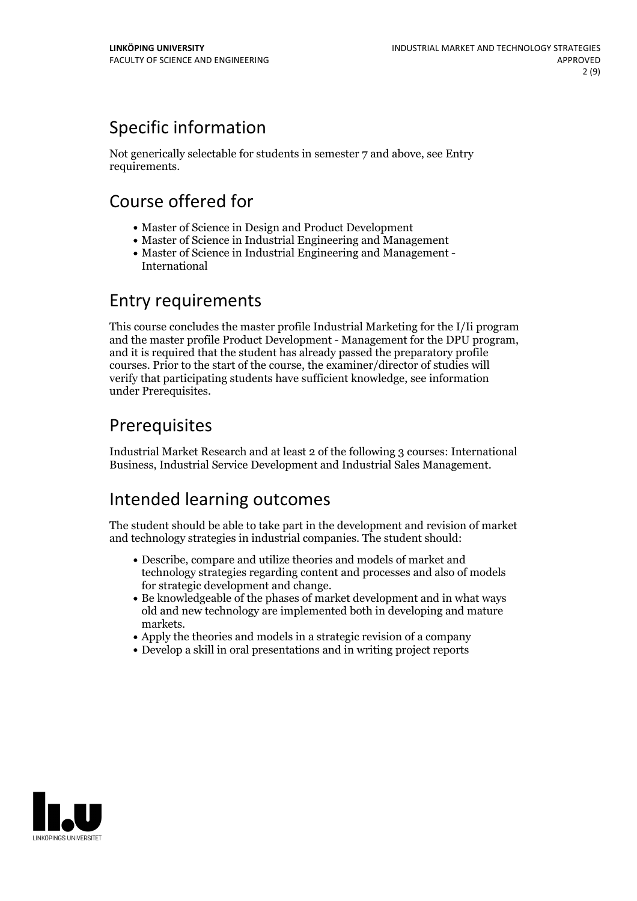# Specific information

Not generically selectable for students in semester 7 and above, see Entry requirements.

# Course offered for

- Master of Science in Design and Product Development
- Master of Science in Industrial Engineering and Management
- Master of Science in Industrial Engineering and Management International

## Entry requirements

This course concludes the master profile Industrial Marketing for the I/Ii program and the master profile Product Development - Management for the DPU program, and it is required that the student has already passed the preparatory profile courses. Prior to the start of the course, the examiner/director of studies will verify that participating students have sufficient knowledge, see information under Prerequisites.

# Prerequisites

Industrial Market Research and at least 2 of the following 3 courses: International Business, Industrial Service Development and Industrial Sales Management.

## Intended learning outcomes

The student should be able to take part in the development and revision of market and technology strategies in industrial companies. The student should:

- Describe, compare and utilize theories and models of market and technology strategies regarding content and processes and also of models
- for strategic development and change.<br>• Be knowledgeable of the phases of market development and in what ways old and new technology are implemented both in developing and mature markets.<br>• Apply the theories and models in a strategic revision of a company
- 
- Develop a skill in oral presentations and in writing project reports

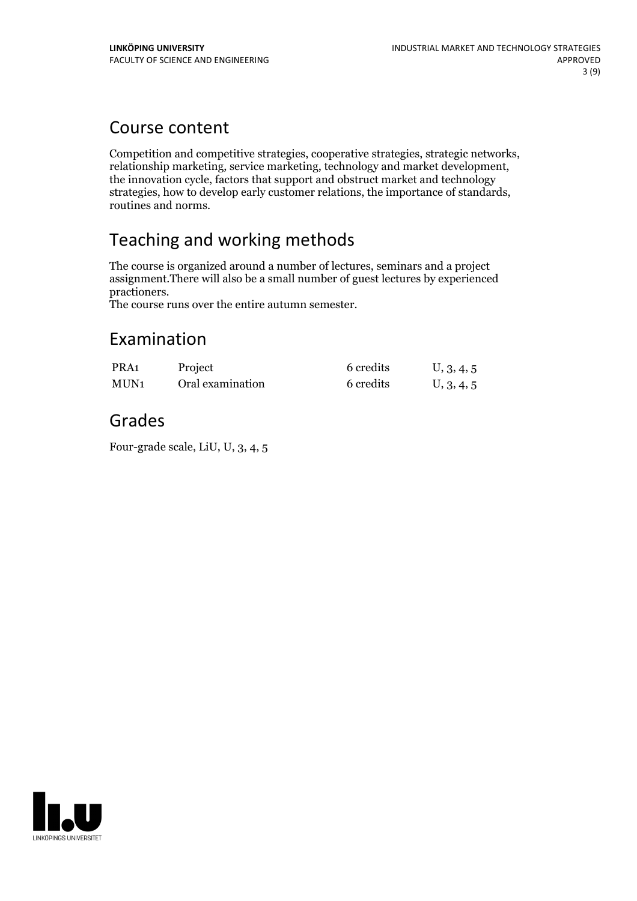## Course content

Competition and competitive strategies, cooperative strategies, strategic networks, relationship marketing, service marketing, technology and market development, the innovation cycle, factors that support and obstruct mark strategies, how to develop early customer relations, the importance of standards, routines and norms.

# Teaching and working methods

The course is organized around a number of lectures, seminars and a project assignment.There will also be a small number of guest lectures by experienced

The course runs over the entire autumn semester.

## Examination

| PRA <sub>1</sub> | Project          | 6 credits | U, 3, 4, 5 |
|------------------|------------------|-----------|------------|
| MUN <sub>1</sub> | Oral examination | 6 credits | U, 3, 4, 5 |

## Grades

Four-grade scale, LiU, U, 3, 4, 5

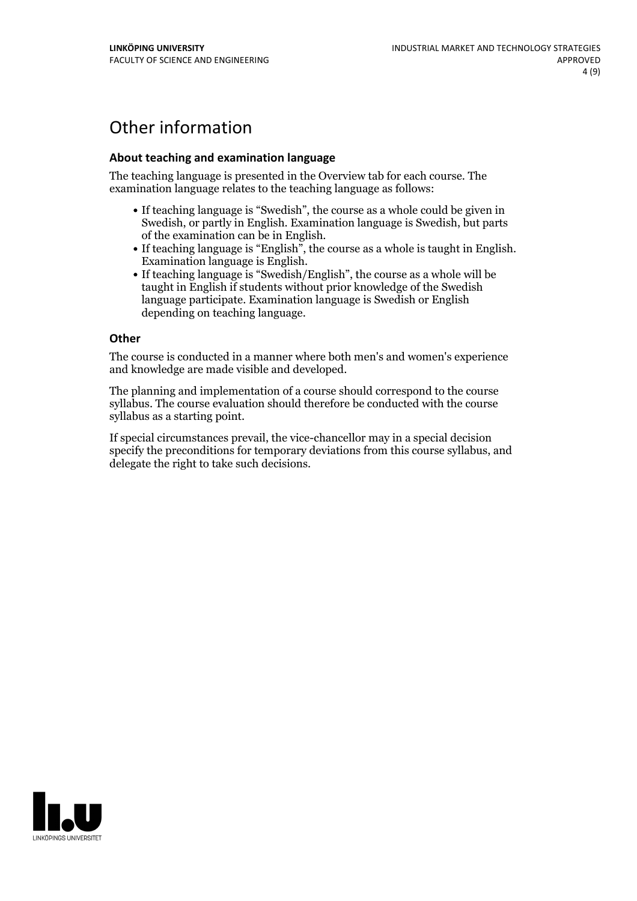# Other information

### **About teaching and examination language**

The teaching language is presented in the Overview tab for each course. The examination language relates to the teaching language as follows:

- If teaching language is "Swedish", the course as a whole could be given in Swedish, or partly in English. Examination language is Swedish, but parts
- of the examination can be in English. If teaching language is "English", the course as <sup>a</sup> whole is taught in English. Examination language is English. If teaching language is "Swedish/English", the course as <sup>a</sup> whole will be
- taught in English if students without prior knowledge of the Swedish language participate. Examination language is Swedish or English depending on teaching language.

#### **Other**

The course is conducted in a manner where both men's and women's experience and knowledge are made visible and developed.

The planning and implementation of a course should correspond to the course syllabus. The course evaluation should therefore be conducted with the course syllabus as a starting point.

If special circumstances prevail, the vice-chancellor may in a special decision specify the preconditions for temporary deviations from this course syllabus, and delegate the right to take such decisions.

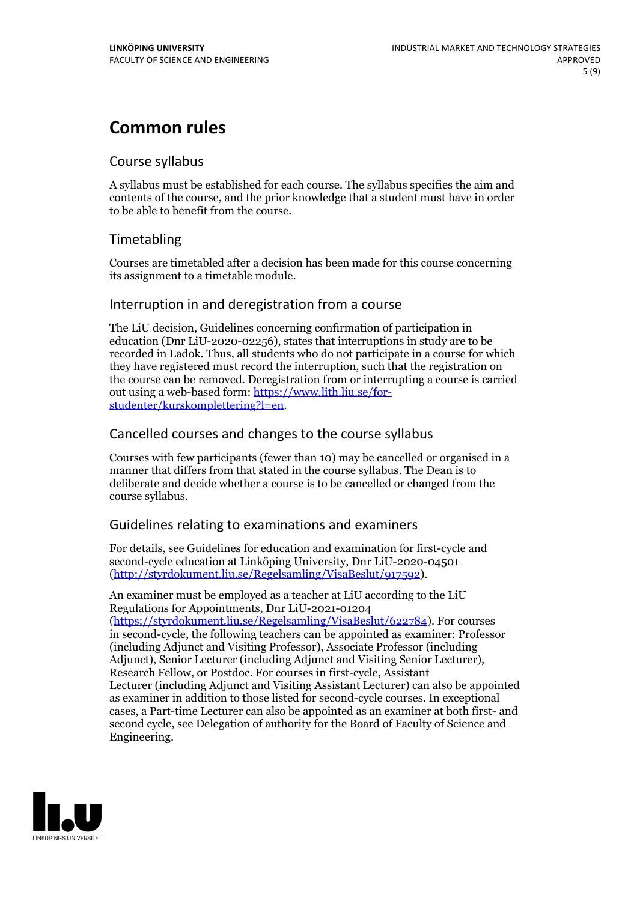# **Common rules**

### Course syllabus

A syllabus must be established for each course. The syllabus specifies the aim and contents of the course, and the prior knowledge that a student must have in order to be able to benefit from the course.

## Timetabling

Courses are timetabled after a decision has been made for this course concerning its assignment to a timetable module.

### Interruption in and deregistration from a course

The LiU decision, Guidelines concerning confirmation of participation in education (Dnr LiU-2020-02256), states that interruptions in study are to be recorded in Ladok. Thus, all students who do not participate in a course for which they have registered must record the interruption, such that the registration on the course can be removed. Deregistration from or interrupting a course is carried out using <sup>a</sup> web-based form: https://www.lith.liu.se/for- [studenter/kurskomplettering?l=en.](https://www.lith.liu.se/for-studenter/kurskomplettering?l=en)

## Cancelled coursesand changes to the course syllabus

Courses with few participants (fewer than 10) may be cancelled or organised in a manner that differs from that stated in the course syllabus. The Dean is to deliberate and decide whether a course is to be cancelled or changed from the course syllabus.

## Guidelines relating to examinations and examiners

For details, see Guidelines for education and examination for first-cycle and second-cycle education at Linköping University, Dnr LiU-2020-04501 [\(http://styrdokument.liu.se/Regelsamling/VisaBeslut/917592\)](http://styrdokument.liu.se/Regelsamling/VisaBeslut/917592).

An examiner must be employed as a teacher at LiU according to the LiU Regulations for Appointments, Dnr LiU-2021-01204 [\(https://styrdokument.liu.se/Regelsamling/VisaBeslut/622784](https://styrdokument.liu.se/Regelsamling/VisaBeslut/622784)). For courses in second-cycle, the following teachers can be appointed as examiner: Professor (including Adjunct and Visiting Professor), Associate Professor (including Adjunct), Senior Lecturer (including Adjunct and Visiting Senior Lecturer), Research Fellow, or Postdoc. For courses in first-cycle, Assistant Lecturer (including Adjunct and Visiting Assistant Lecturer) can also be appointed as examiner in addition to those listed for second-cycle courses. In exceptional cases, a Part-time Lecturer can also be appointed as an examiner at both first- and second cycle, see Delegation of authority for the Board of Faculty of Science and Engineering.

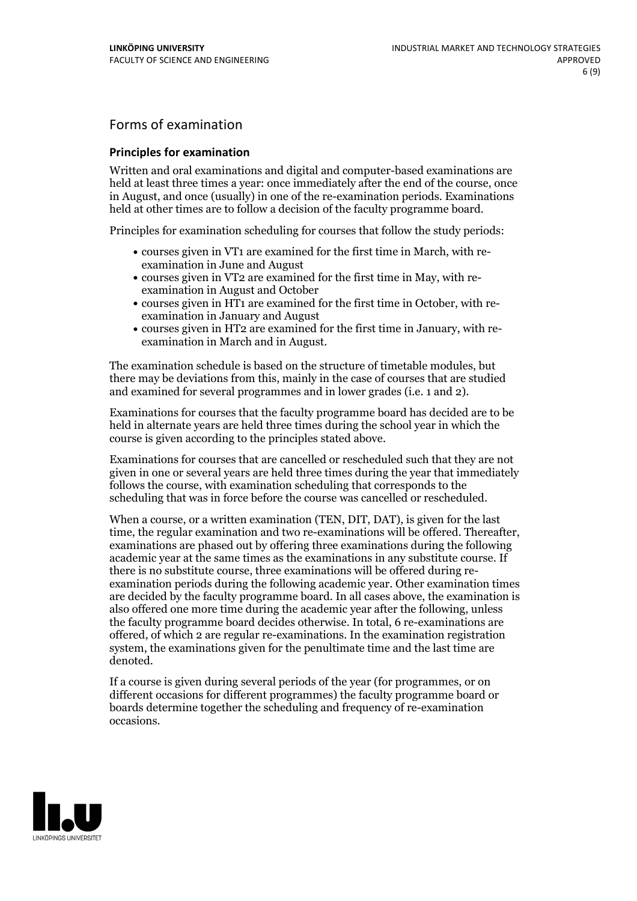## Forms of examination

#### **Principles for examination**

Written and oral examinations and digital and computer-based examinations are held at least three times a year: once immediately after the end of the course, once in August, and once (usually) in one of the re-examination periods. Examinations held at other times are to follow a decision of the faculty programme board.

Principles for examination scheduling for courses that follow the study periods:

- courses given in VT1 are examined for the first time in March, with re-examination in June and August
- courses given in VT2 are examined for the first time in May, with re-examination in August and October
- courses given in HT1 are examined for the first time in October, with re-examination in January and August
- courses given in HT2 are examined for the first time in January, with re-examination in March and in August.

The examination schedule is based on the structure of timetable modules, but there may be deviations from this, mainly in the case of courses that are studied and examined for several programmes and in lower grades (i.e. 1 and 2).

Examinations for courses that the faculty programme board has decided are to be held in alternate years are held three times during the school year in which the course is given according to the principles stated above.

Examinations for courses that are cancelled orrescheduled such that they are not given in one or several years are held three times during the year that immediately follows the course, with examination scheduling that corresponds to the scheduling that was in force before the course was cancelled or rescheduled.

When a course, or a written examination (TEN, DIT, DAT), is given for the last time, the regular examination and two re-examinations will be offered. Thereafter, examinations are phased out by offering three examinations during the following academic year at the same times as the examinations in any substitute course. If there is no substitute course, three examinations will be offered during re- examination periods during the following academic year. Other examination times are decided by the faculty programme board. In all cases above, the examination is also offered one more time during the academic year after the following, unless the faculty programme board decides otherwise. In total, 6 re-examinations are offered, of which 2 are regular re-examinations. In the examination registration system, the examinations given for the penultimate time and the last time are denoted.

If a course is given during several periods of the year (for programmes, or on different occasions for different programmes) the faculty programme board or boards determine together the scheduling and frequency of re-examination occasions.

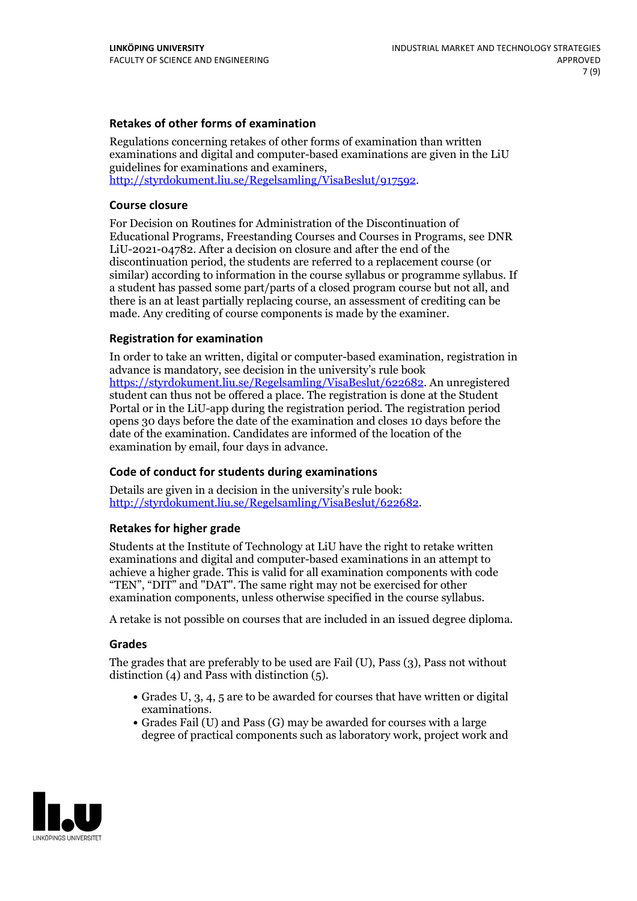### **Retakes of other forms of examination**

Regulations concerning retakes of other forms of examination than written examinations and digital and computer-based examinations are given in the LiU guidelines for examinations and examiners, [http://styrdokument.liu.se/Regelsamling/VisaBeslut/917592.](http://styrdokument.liu.se/Regelsamling/VisaBeslut/917592)

#### **Course closure**

For Decision on Routines for Administration of the Discontinuation of Educational Programs, Freestanding Courses and Courses in Programs, see DNR LiU-2021-04782. After a decision on closure and after the end of the discontinuation period, the students are referred to a replacement course (or similar) according to information in the course syllabus or programme syllabus. If a student has passed some part/parts of a closed program course but not all, and there is an at least partially replacing course, an assessment of crediting can be made. Any crediting of course components is made by the examiner.

### **Registration for examination**

In order to take an written, digital or computer-based examination, registration in advance is mandatory, see decision in the university's rule book [https://styrdokument.liu.se/Regelsamling/VisaBeslut/622682.](https://styrdokument.liu.se/Regelsamling/VisaBeslut/622682) An unregistered student can thus not be offered a place. The registration is done at the Student Portal or in the LiU-app during the registration period. The registration period opens 30 days before the date of the examination and closes 10 days before the date of the examination. Candidates are informed of the location of the examination by email, four days in advance.

### **Code of conduct for students during examinations**

Details are given in a decision in the university's rule book: <http://styrdokument.liu.se/Regelsamling/VisaBeslut/622682>.

#### **Retakes for higher grade**

Students at the Institute of Technology at LiU have the right to retake written examinations and digital and computer-based examinations in an attempt to achieve a higher grade. This is valid for all examination components with code "TEN", "DIT" and "DAT". The same right may not be exercised for other examination components, unless otherwise specified in the course syllabus.

A retake is not possible on courses that are included in an issued degree diploma.

#### **Grades**

The grades that are preferably to be used are Fail (U), Pass (3), Pass not without distinction  $(4)$  and Pass with distinction  $(5)$ .

- Grades U, 3, 4, 5 are to be awarded for courses that have written or digital examinations.<br>• Grades Fail (U) and Pass (G) may be awarded for courses with a large
- degree of practical components such as laboratory work, project work and

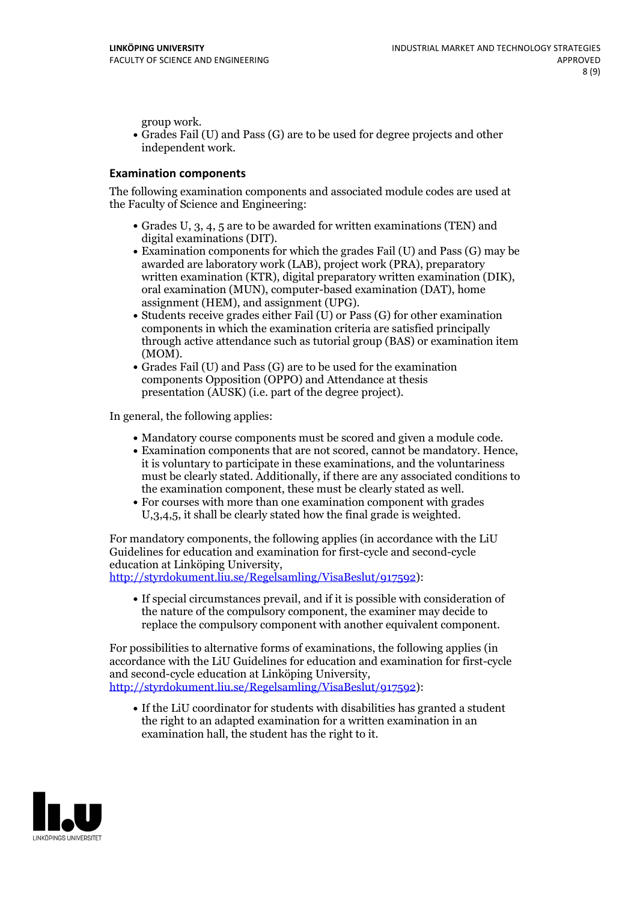group work.<br>• Grades Fail (U) and Pass (G) are to be used for degree projects and other independent work.

#### **Examination components**

The following examination components and associated module codes are used at the Faculty of Science and Engineering:

- Grades U, 3, 4, 5 are to be awarded for written examinations (TEN) and
- digital examinations (DIT).<br>• Examination components for which the grades Fail (U) and Pass (G) may be awarded are laboratory work (LAB), project work (PRA), preparatory written examination (KTR), digital preparatory written examination (DIK), oral examination (MUN), computer-based examination (DAT), home
- assignment (HEM), and assignment (UPG).<br>• Students receive grades either Fail (U) or Pass (G) for other examination components in which the examination criteria are satisfied principally through active attendance such as tutorial group (BAS) or examination item
- (MOM).<br>• Grades Fail (U) and Pass (G) are to be used for the examination components Opposition (OPPO) and Attendance at thesis presentation (AUSK) (i.e. part of the degree project).

In general, the following applies:

- 
- Mandatory course components must be scored and given <sup>a</sup> module code. Examination components that are not scored, cannot be mandatory. Hence, it is voluntary to participate in these examinations, and the voluntariness must be clearly stated. Additionally, if there are any associated conditions to
- the examination component, these must be clearly stated as well.<br>• For courses with more than one examination component with grades U,3,4,5, it shall be clearly stated how the final grade is weighted.

For mandatory components, the following applies (in accordance with the LiU Guidelines for education and examination for first-cycle and second-cycle

[http://styrdokument.liu.se/Regelsamling/VisaBeslut/917592\)](http://styrdokument.liu.se/Regelsamling/VisaBeslut/917592):

If special circumstances prevail, and if it is possible with consideration of the nature of the compulsory component, the examiner may decide to replace the compulsory component with another equivalent component.

For possibilities to alternative forms of examinations, the following applies (in accordance with the LiU Guidelines for education and examination for first-cycle [http://styrdokument.liu.se/Regelsamling/VisaBeslut/917592\)](http://styrdokument.liu.se/Regelsamling/VisaBeslut/917592):

If the LiU coordinator for students with disabilities has granted a student the right to an adapted examination for a written examination in an examination hall, the student has the right to it.